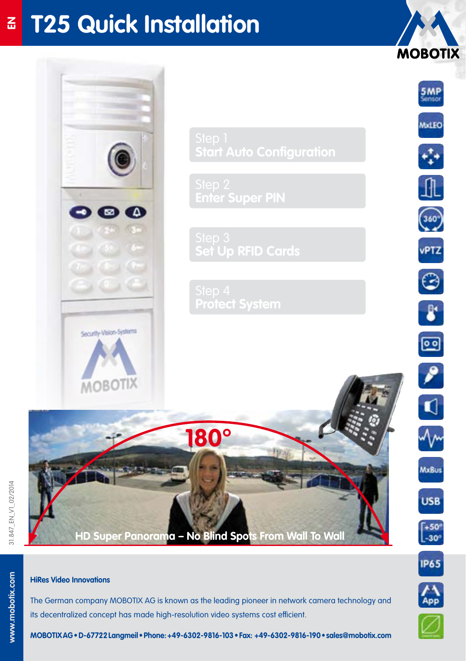# **T25 Quick Installation**  $\underline{\mathbf{z}}$





www.mobotix.com



 $-50^{\circ}$ <br> $-30^{\circ}$ 

**MOBOTIX** 

5MP

MxLEO

 $360^{\circ}$ 

vPTZ

 $\odot$ 

 $\pmb{\delta}^*$ 

ஞ

 $\epsilon$ 

 $\blacksquare$ 

**MxBus** 

**USB** 



## **HiRes Video Innovations**

The German company MOBOTIX AG is known as the leading pioneer in network camera technology and its decentralized concept has made high-resolution video systems cost efficient.



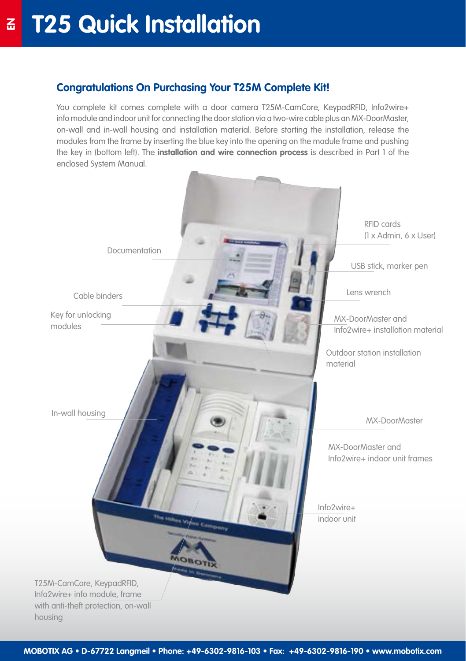## **Congratulations On Purchasing Your T25M Complete Kit!**

You complete kit comes complete with a door camera T25M-CamCore, KeypadRFID, Info2wire+ info module and indoor unit for connecting the door station via a two-wire cable plus an MX-DoorMaster, on-wall and in-wall housing and installation material. Before starting the installation, release the modules from the frame by inserting the blue key into the opening on the module frame and pushing the key in (bottom left). The **installation and wire connection process** is described in Part 1 of the enclosed System Manual.

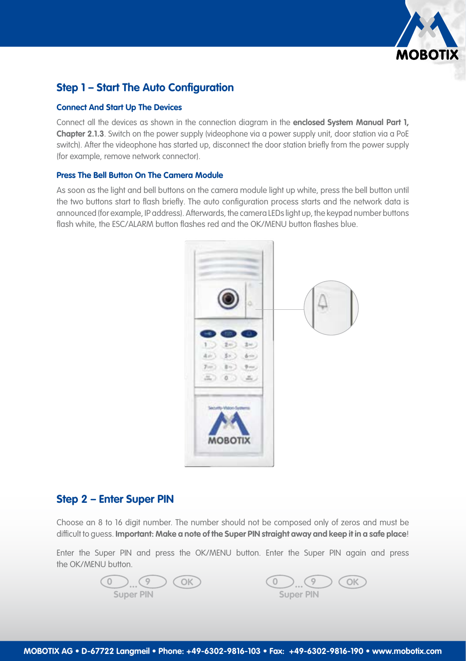

## **Step 1 – Start The Auto Configuration**

### **Connect And Start Up The Devices**

Connect all the devices as shown in the connection diagram in the **enclosed System Manual Part 1, Chapter 2.1.3**. Switch on the power supply (videophone via a power supply unit, door station via a PoE switch). After the videophone has started up, disconnect the door station briefly from the power supply (for example, remove network connector).

### **Press The Bell Button On The Camera Module**

As soon as the light and bell buttons on the camera module light up white, press the bell button until the two buttons start to flash briefly. The auto configuration process starts and the network data is announced (for example, IP address). Afterwards, the camera LEDs light up, the keypad number buttons flash white, the ESC/ALARM button flashes red and the OK/MENU button flashes blue.



### **Step 2 – Enter Super PIN**

Choose an 8 to 16 digit number. The number should not be composed only of zeros and must be difficult to guess. **Important: Make a note of the Super PIN straight away and keep it in a safe place**!

Enter the Super PIN and press the OK/MENU button. Enter the Super PIN again and press the OK/MENU button.